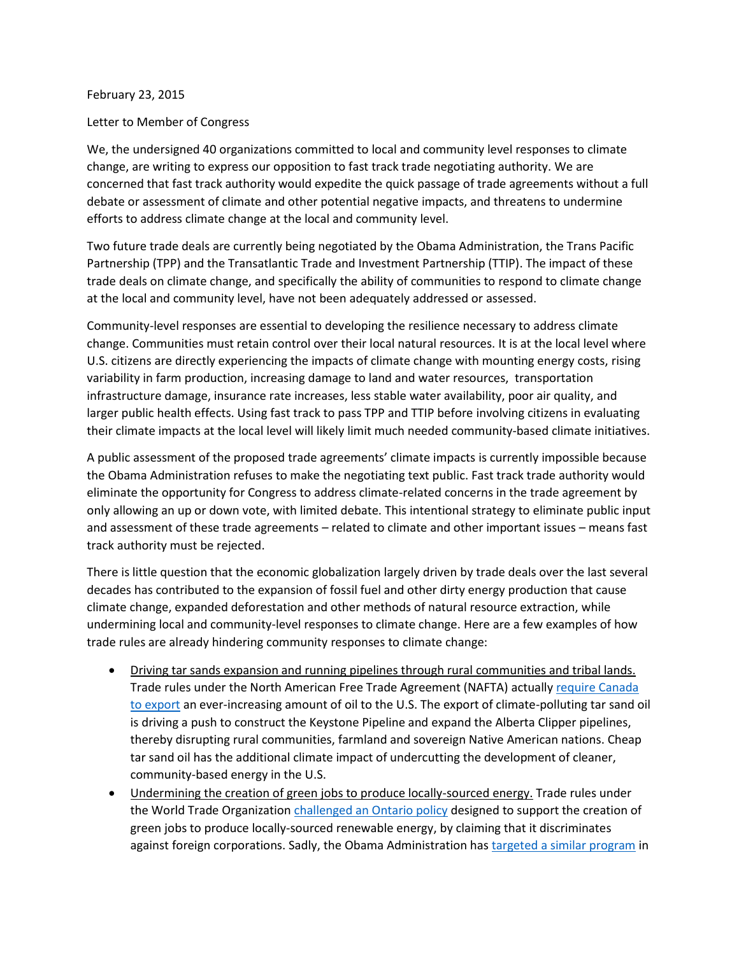## February 23, 2015

## Letter to Member of Congress

We, the undersigned 40 organizations committed to local and community level responses to climate change, are writing to express our opposition to fast track trade negotiating authority. We are concerned that fast track authority would expedite the quick passage of trade agreements without a full debate or assessment of climate and other potential negative impacts, and threatens to undermine efforts to address climate change at the local and community level.

Two future trade deals are currently being negotiated by the Obama Administration, the Trans Pacific Partnership (TPP) and the Transatlantic Trade and Investment Partnership (TTIP). The impact of these trade deals on climate change, and specifically the ability of communities to respond to climate change at the local and community level, have not been adequately addressed or assessed.

Community-level responses are essential to developing the resilience necessary to address climate change. Communities must retain control over their local natural resources. It is at the local level where U.S. citizens are directly experiencing the impacts of climate change with mounting energy costs, rising variability in farm production, increasing damage to land and water resources, transportation infrastructure damage, insurance rate increases, less stable water availability, poor air quality, and larger public health effects. Using fast track to pass TPP and TTIP before involving citizens in evaluating their climate impacts at the local level will likely limit much needed community-based climate initiatives.

A public assessment of the proposed trade agreements' climate impacts is currently impossible because the Obama Administration refuses to make the negotiating text public. Fast track trade authority would eliminate the opportunity for Congress to address climate-related concerns in the trade agreement by only allowing an up or down vote, with limited debate. This intentional strategy to eliminate public input and assessment of these trade agreements – related to climate and other important issues – means fast track authority must be rejected.

There is little question that the economic globalization largely driven by trade deals over the last several decades has contributed to the expansion of fossil fuel and other dirty energy production that cause climate change, expanded deforestation and other methods of natural resource extraction, while undermining local and community-level responses to climate change. Here are a few examples of how trade rules are already hindering community responses to climate change:

- Driving tar sands expansion and running pipelines through rural communities and tribal lands. Trade rules under the North American Free Trade Agreement (NAFTA) actually require Canada [to export](http://www.iatp.org/documents/tar-sands-how-trade-rules-surrender-sovereignty-and-extend-corporate-rights) an ever-increasing amount of oil to the U.S. The export of climate-polluting tar sand oil is driving a push to construct the Keystone Pipeline and expand the Alberta Clipper pipelines, thereby disrupting rural communities, farmland and sovereign Native American nations. Cheap tar sand oil has the additional climate impact of undercutting the development of cleaner, community-based energy in the U.S.
- Undermining the creation of green jobs to produce locally-sourced energy. Trade rules under the World Trade Organization challenged [an Ontario policy](http://www.citizen.org/documents/ontario-feed-in-tariff-briefing-paper.pdf) designed to support the creation of green jobs to produce locally-sourced renewable energy, by claiming that it discriminates against foreign corporations. Sadly, the Obama Administration ha[s targeted a similar program](http://www.iatp.org/blog/201405/what-goes-around-comes-around-us-trade-agenda-vs-climate-and-green-jobs) in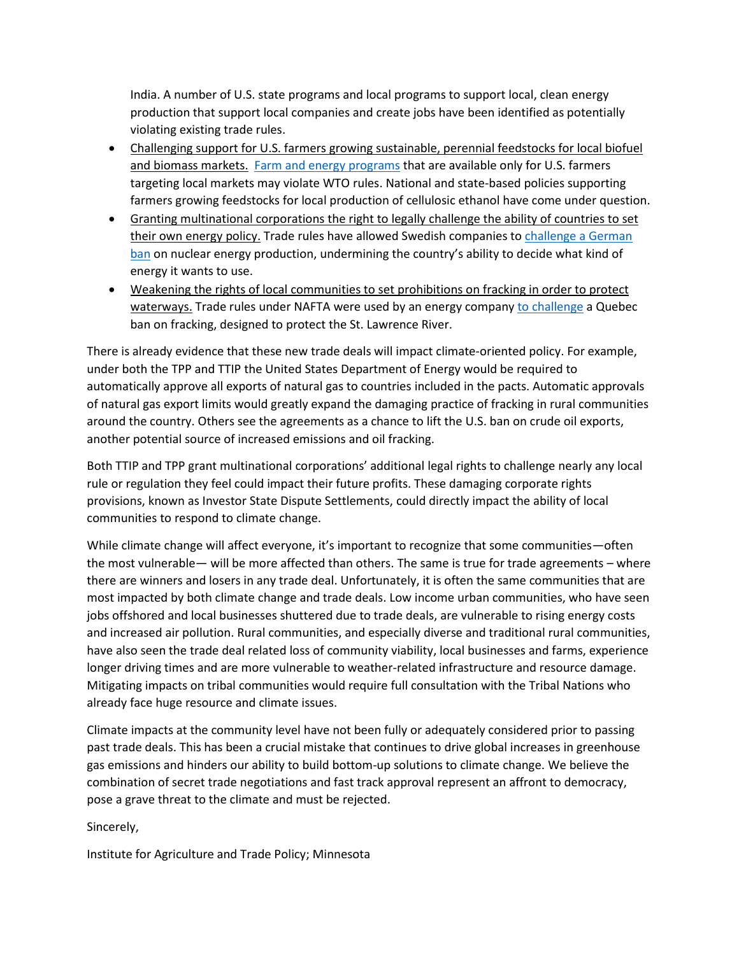India. A number of U.S. state programs and local programs to support local, clean energy production that support local companies and create jobs have been identified as potentially violating existing trade rules.

- Challenging support for U.S. farmers growing sustainable, perennial feedstocks for local biofuel and biomass markets. [Farm and energy programs](http://www.iatp.org/documents/sustainability-criteria-biofuel-policy-and-trade-rules) that are available only for U.S. farmers targeting local markets may violate WTO rules. National and state-based policies supporting farmers growing feedstocks for local production of cellulosic ethanol have come under question.
- Granting multinational corporations the right to legally challenge the ability of countries to set their own energy policy. Trade rules have allowed Swedish companies to challenge a German [ban](http://www.economist.com/news/finance-and-economics/21623756-governments-are-souring-treaties-protect-foreign-investors-arbitration) on nuclear energy production, undermining the country's ability to decide what kind of energy it wants to use.
- Weakening the rights of local communities to set prohibitions on fracking in order to protect waterways. Trade rules under NAFTA were used by an energy company [to challenge](http://www.huffingtonpost.ca/2013/10/03/quebec-fracking-ban-lawsuit_n_4038173.html) a Quebec ban on fracking, designed to protect the St. Lawrence River.

There is already evidence that these new trade deals will impact climate-oriented policy. For example, under both the TPP and TTIP the United States Department of Energy would be required to automatically approve all exports of natural gas to countries included in the pacts. Automatic approvals of natural gas export limits would greatly expand the damaging practice of fracking in rural communities around the country. Others see the agreements as a chance to lift the U.S. ban on crude oil exports, another potential source of increased emissions and oil fracking.

Both TTIP and TPP grant multinational corporations' additional legal rights to challenge nearly any local rule or regulation they feel could impact their future profits. These damaging corporate rights provisions, known as Investor State Dispute Settlements, could directly impact the ability of local communities to respond to climate change.

While climate change will affect everyone, it's important to recognize that some communities—often the most vulnerable— will be more affected than others. The same is true for trade agreements – where there are winners and losers in any trade deal. Unfortunately, it is often the same communities that are most impacted by both climate change and trade deals. Low income urban communities, who have seen jobs offshored and local businesses shuttered due to trade deals, are vulnerable to rising energy costs and increased air pollution. Rural communities, and especially diverse and traditional rural communities, have also seen the trade deal related loss of community viability, local businesses and farms, experience longer driving times and are more vulnerable to weather-related infrastructure and resource damage. Mitigating impacts on tribal communities would require full consultation with the Tribal Nations who already face huge resource and climate issues.

Climate impacts at the community level have not been fully or adequately considered prior to passing past trade deals. This has been a crucial mistake that continues to drive global increases in greenhouse gas emissions and hinders our ability to build bottom-up solutions to climate change. We believe the combination of secret trade negotiations and fast track approval represent an affront to democracy, pose a grave threat to the climate and must be rejected.

Sincerely,

Institute for Agriculture and Trade Policy; Minnesota